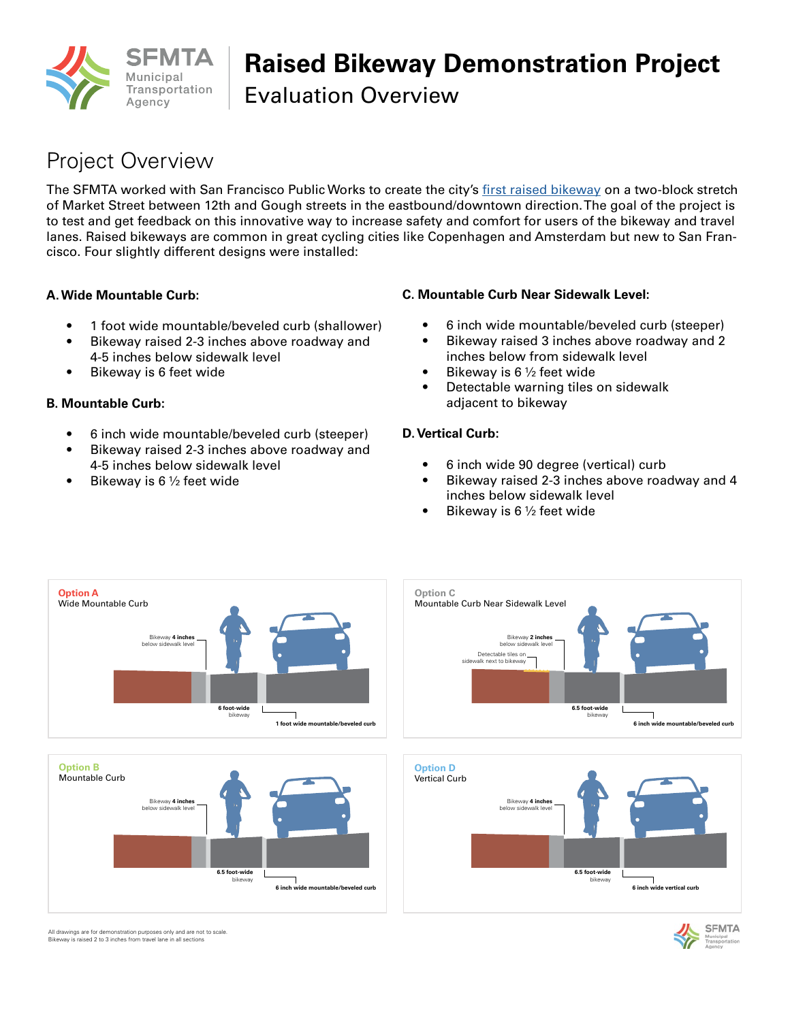

# **Raised Bikeway Demonstration Project**

Evaluation Overview

## Project Overview

The SFMTA worked with San Francisco Public Works to create the city's [first raised bikeway](http://sfmta.com/raisedbikewaydemo) on a two-block stretch of Market Street between 12th and Gough streets in the eastbound/downtown direction. The goal of the project is to test and get feedback on this innovative way to increase safety and comfort for users of the bikeway and travel lanes. Raised bikeways are common in great cycling cities like Copenhagen and Amsterdam but new to San Francisco. Four slightly different designs were installed:

#### **A. Wide Mountable Curb:**

- 1 foot wide mountable/beveled curb (shallower)
- Bikeway raised 2-3 inches above roadway and 4-5 inches below sidewalk level
- Bikeway is 6 feet wide

### **B. Mountable Curb:**

- 6 inch wide mountable/beveled curb (steeper)
- Bikeway raised 2-3 inches above roadway and 4-5 inches below sidewalk level
- Bikeway is 6  $\frac{1}{2}$  feet wide

### **C. Mountable Curb Near Sidewalk Level:**

- 6 inch wide mountable/beveled curb (steeper)
- Bikeway raised 3 inches above roadway and 2 inches below from sidewalk level
- Bikeway is 6 ½ feet wide
- Detectable warning tiles on sidewalk adjacent to bikeway

### **D. Vertical Curb:**

- 6 inch wide 90 degree (vertical) curb
- Bikeway raised 2-3 inches above roadway and 4 inches below sidewalk level
- Bikeway is  $6\frac{1}{2}$  feet wide











All drawings are for demonstration purposes only and are not to scale. Bikeway is raised 2 to 3 inches from travel lane in all sections